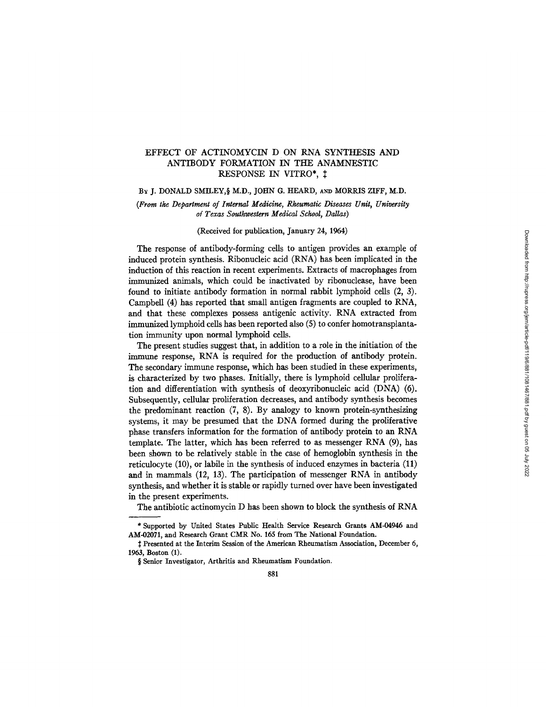# EFFECT OF ACTINOMYCIN D ON RNA SYNTHESIS AND ANTIBODY FORMATION IN THE ANAMNESTIC RESPONSE IN VITRO\*,  $\ddagger$

BY J. DONALD SMILEY, § M.D., JOHN G. HEARD, AND MORRIS ZIFF, M.D.

## *(From the Department of Internal Medicine, Rheumatic Diseases Unit, University of Texas Southwestern Medical School, Dallas)*

(Received for publication, January 24, 1964)

The response of antibody-forming cells to antigen provides an example of induced protein synthesis. Ribonucleic acid (RNA) has been implicated in the induction of this reaction in recent experiments. Extracts of macrophages from immunized animals, which could be inactivated by ribonuclease, have been found to initiate antibody formation in normal rabbit lymphoid cells (2, 3). Campbell (4) has reported that small antigen fragments are coupled to RNA, and that these complexes possess antigenic activity. RNA extracted from immunized lymphoid ceils has been reported also (5) to confer homotransplantafion immunity upon normal lymphoid ceils.

The present studies suggest that, in addition to a role in the initiation of the immune response, RNA is required for the production of antibody protein. The secondary immune response, which has been studied in these experiments, is characterized by two phases. Initially, there is lymphoid cellular proliferation and differentiation with synthesis of deoxyribonucleic acid (DNA) (6). Subsequently, cellular proliferation decreases, and antibody synthesis becomes the predominant reaction (7, 8). By analogy to known protein-synthesizing systems, it may be presumed that the DNA formed during the proliferative phase transfers information for the formation of antibody protein to an RNA template. The latter, which has been referred to as messenger RNA (9), has been shown to be relatively stable in the case of hemoglobin synthesis in the reticulocyte (10), or labile in the synthesis of induced enzymes in bacteria (11) and in mammals (12, 13). The participation of messenger RNA in antibody synthesis, and whether it is stable or rapidly turned over have been investigated in the present experiments.

The antibiotic actinomycin D has been shown to block the synthesis of RNA

<sup>\*</sup> Supported by United States Public Health Service Research Grants AM-04946 and AM-02071, and Research Grant CMR No. 165 from The National Foundation.

 $\ddagger$  Presented at the Interim Session of the American Rheumatism Association, December 6, 1963, Boston (1).

<sup>§</sup> Senior Investigator, Arthritis and Rheumatism Foundation.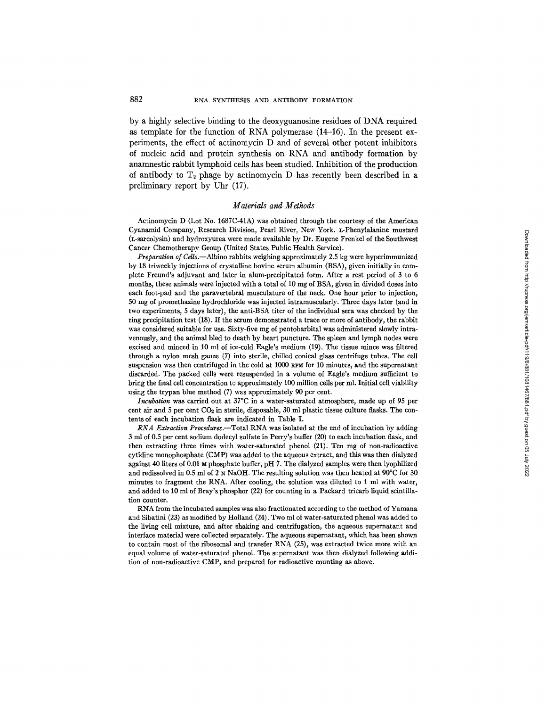by a highly selective binding to the deoxyguanosine residues of DNA required as template for the function of RNA polymerase (14-16). In the present experiments, the effect of actinomycin D and of several other potent inhibitors of nucleic acid and protein synthesis on RNA and antibody formation by anamnesfic rabbit lymphoid cells has been studied. Inhibition of the production of antibody to  $T_2$  phage by actinomycin D has recently been described in a preliminary report by Uhr (17).

## *Materials and Methods*

Actinomycin D (Lot No. 1687C-41A) was obtained through the courtesy of the American Cyanamid Company, Research Division, Pearl River, New York. L-Phenylalanine mustard (L-sarcolysin) and hydroxyurea were made available by Dr. Eugene Frenkel of the Southwest Cancer Chemotherapy Group (United States Public Health Service).

*Preparation of Cdls.--Albino* rabbits weighing approximately 2.5 kg were hyperimmunized by 18 triweekly injections of crystalline bovine serum albumin (BSA), given initially in complete Freund's adjuvant and later in alum-precipitated form. After a rest period of 3 to 6 months, these animals were injected with a total of 10 mg of BSA, given in divided doses into each foot-pad and the paravertebral musculature of the neck. One hour prior to injection, 50 mg of promethazine hydrochloride was injected intramuscularly. Three days later (and in two experiments, 5 days later), the anti-BSA titer of the individual sera was checked by the ring precipitation test (18). If the serum demonstrated a trace or more of antibody, the rabbit was considered suitable for use. Sixty-five mg of pentobarbital was administered slowly intravenously, and the animal bled to death by heart puncture. The spleen and lymph nodes were excised and minced in 10 ml of ice-cold Eagle's medium (19). The tissue mince was filtered through a nylon mesh gauze (7) into sterile, chilled conical glass centrifuge tubes. The cell suspension was then centrifuged in the cold at 1000 RPM for 10 minutes, and the supernatant discarded. The packed cells were resuspended in a volume of Eagle's medium sufficient to bring the final cell concentration to approximately 100 million cells per ml. Initial cell viability using the trypan blue method (7) was approximately 90 per cent.

*Incubation* was carried out at 37°C in a water-saturated atmosphere, made up of 95 per cent air and 5 per cent  $CO<sub>2</sub>$  in sterile, disposable, 30 ml plastic tissue culture flasks. The contents of each incubation flask are indicated in Table I.

*RNA Extraction Procedures.--Total* RNA was isolated at the end of incubation by adding 3 ml of 0.5 per cent sodium dodecyl sulfate in Perry's buffer (20) to each incubation flask, and then extracting three times with water-saturated phenol (21). Ten mg of non-radioactive cytidine monophosphate (CMP) was added to the aqueous extract, and this was then dialyzed against 40 liters of 0.01  $\mu$  phosphate buffer, pH 7. The dialyzed samples were then lyophilized and redissolved in 0.5 ml of 2 N NaOH. The resulting solution was then heated at 90°C for 30 minutes to fragment the RNA. After cooling, the solution was diluted to 1 ml with water, and added to 10 ml of Bray's phosphor (22) for counting in a Packard tricarb liquid scintillation counter.

RNA from the incubated samples was also fractionated according to the method of Yamana and Sibatini (23) as modified by Holland (24). Two ml of water-saturated phenol was added to the living cell mixture, and after shaking and centrifugation, the aqueous supernatant and interface material were collected separately. The aqueous supernatant, which has been shown to contain most of the ribosomal and transfer RNA (25), was extracted twice more with an equal volume of water-saturated phenol. The supernatant was then dialyzed following addition of non-radioactive CMP, and prepared for radioactive counting as above.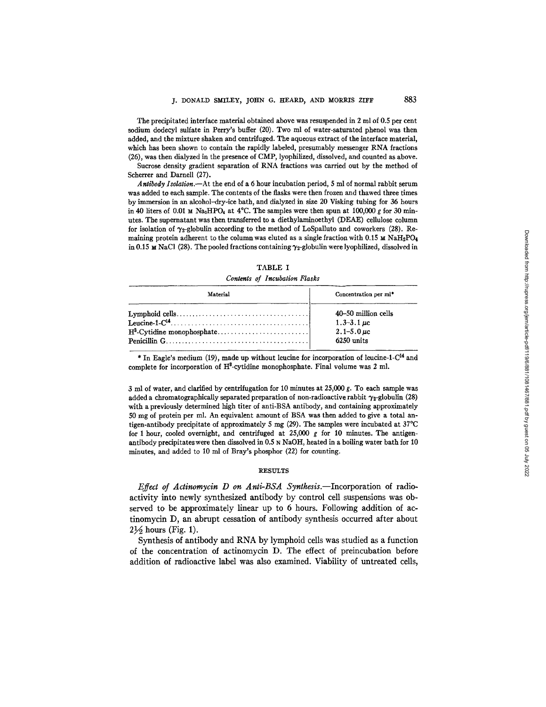The precipitated interface material obtained above was resuspended in 2 ml of 0.5 per cent sodium dodecyl sulfate in Perry's buffer (20). Two ml of water-saturated phenol was then added, and the mixture shaken and centrifuged. The aqueous extract of the interface material, which has been shown to contain the rapidly labeled, presumably messenger RNA fractions (26), was then dialyzed in the presence of CMP, lyophilized, dissolved, and counted as above.

Sucrose density gradient separation of RNA fractions was carried out by the method of Scherrer and Darnell (27).

*Antibody Isotation.--At* the end of a 6 hour incubation period, 5 ml of normal rabbit serum was added to each sample. The contents of the flasks were then frozen and thawed three times by immersion in an alcohol-dry-ice bath, and dialyzed in size 20 Visking tubing for 36 hours in 40 liters of 0.01  $\text{M}$  Na<sub>2</sub>HPO<sub>4</sub> at 4°C. The samples were then spun at 100,000 g for 30 minutes. The supernatant was then transferred to a diethylaminoethyl (DEAE) cellulose column for isolation of  $\gamma_2$ -globulin according to the method of LoSpalluto and coworkers (28). Remaining protein adherent to the column was eluted as a single fraction with 0.15 M NaH<sub>2</sub>PO<sub>4</sub> in 0.15 M NaCl (28). The pooled fractions containing  $\gamma_2$ -globulin were lyophilized, dissolved in

| Concert of Incubation Plasks |                                                                             |  |  |
|------------------------------|-----------------------------------------------------------------------------|--|--|
| Material                     | Concentration per ml*                                                       |  |  |
|                              | 40–50 million cells<br>1.3–3.1 $\mu$ c<br>$2.1 - 5.0 \,\mu c$<br>6250 units |  |  |

TABLE I *Contents of Incubation Flasks* 

\* In Eagle's medium (19), made up without leucine for incorporation of leucine-1- $C<sup>14</sup>$  and complete for incorporation of  $H^3$ -cytidine monophosphate. Final volume was 2 ml.

3 ml of water, and clarified by centrifugation for 10 minutes at 25,000 g. To each sample was added a chromatographically separated preparation of non-radioactive rabbit  $\gamma_2$ -globulin (28) with a previously determined high titer of anti-BSA antibody, and containing approximately 50 mg of protein per mi. An equivalent amount of BSA was then added to give a total antigen-antibody precipitate of approximately 5 mg (29). The samples were incubated at  $37^{\circ}$ C for 1 hour, cooled overnight, and centrifuged at  $25,000$  g for 10 minutes. The antigenantibody precipitateswere then dissolved in 0.5 N NaOH, heated in a boiling water bath for 10 minutes, and added to 10 ml of Bray's phosphor (22) for counting.

## **RESULTS**

*Effect of Actinomycin D on Anti-BSA Synthesis.*--Incorporation of radioactivity into newly synthesized antibody by control cell suspensions was observed to be approximately linear up to 6 hours. Following addition of actinomycin D, an abrupt cessation of antibody synthesis occurred after about  $2\frac{1}{2}$  hours (Fig. 1).

Synthesis of antibody and RNA by lymphoid cells was studied as a function of the concentration of actinomycin D. The effect of preincubation before addition of radioactive label was also examined. Viability of untreated cells,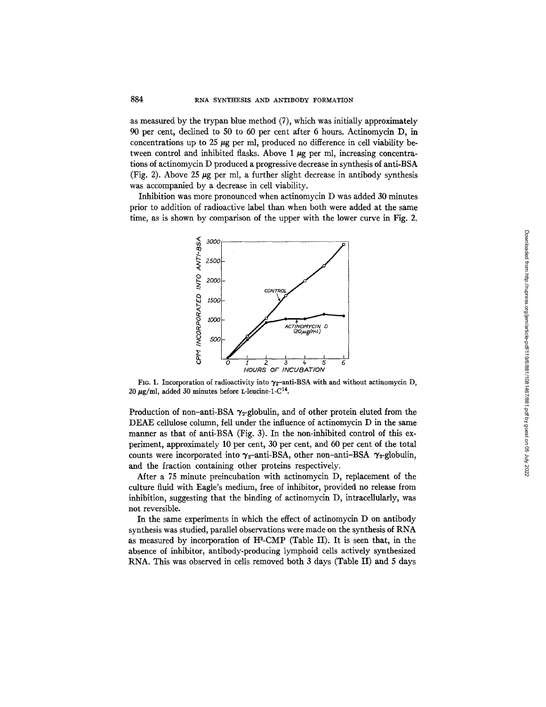as measured by the trypan blue method (7), which was initially approximately 90 per cent, declined to 50 to 60 per cent after 6 hours. Actinomycin D, in concentrations up to 25  $\mu$ g per ml, produced no difference in cell viability between control and inhibited flasks. Above  $1 \mu$ g per ml, increasing concentrations of acfinomycin D produced a progressive decrease in synthesis of anti-BSA (Fig. 2). Above 25  $\mu$ g per ml, a further slight decrease in antibody synthesis was accompanied by a decrease in cell viability.

Inhibition was more pronounced when actinomycin D was added 30 minutes prior to addition of radioactive label than when both were added at the same time, as is shown by comparison of the upper with the lower curve in Fig. 2.



FIG. 1. Incorporation of radioactivity into  $\gamma_2$ -anti-BSA with and without actinomycin D, 20  $\mu$ g/ml, added 30 minutes before L-leucine-1-C<sup>14</sup>.

Production of non-anti-BSA  $\gamma_2$ -globulin, and of other protein eluted from the DEAE cellulose column, fell under the influence of actinomycin D in the same manner as that of anti-BSA (Fig. 3). In the non-inhibited control of this experiment, approximately 10 per cent, 30 per cent, and 60 per cent of the total counts were incorporated into  $\gamma_2$ -anti-BSA, other non-anti-BSA  $\gamma_2$ -globulin, and the fraction containing other proteins respectively.

Mter a 75 minute preincubation with actinomycin D, replacement of the culture fluid with Eagle's medium, free of inhibitor, provided no release from inhibition, suggesting that the binding of actinomycin D, intracellularly, was not reversible.

In the same experiments in which the effect of actinomycin D on antibody synthesis was studied, parallel observations were made on the synthesis of RNA as measured by incorporation of  $H^3$ -CMP (Table II). It is seen that, in the absence of inhibitor, antibody-producing lymphoid cells actively synthesized RNA. This was observed in cells removed both 3 days (Table II) and 5 days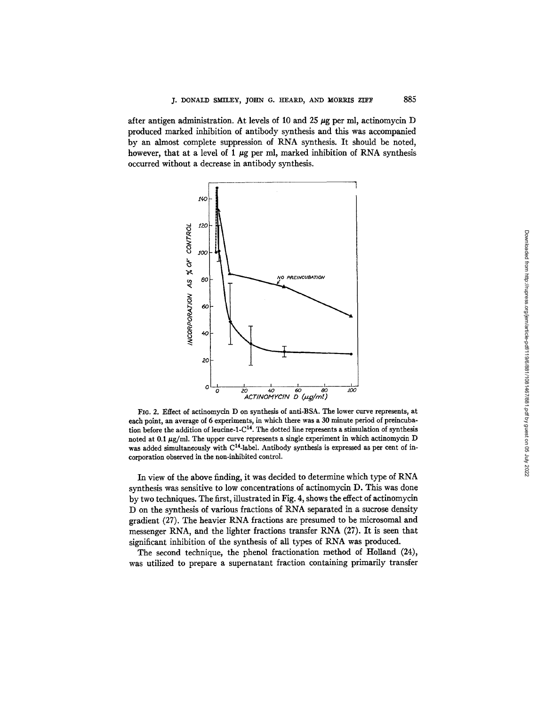885

after antigen administration. At levels of 10 and 25  $\mu$ g per ml, actinomycin D produced marked inhibition of antibody synthesis and this was accompanied by an almost complete suppression of RNA synthesis. It should be noted, however, that at a level of 1  $\mu$ g per ml, marked inhibition of RNA synthesis occurred without a decrease in antibody synthesis.



FIG. 2. Effect of actinomycin D on synthesis of anti-BSA. The lower curve represents, at each point, an average of 6 experiments, in which there was a 30 minute period of preincubation before the addition of leucine-l-C 14. The dotted line represents a stimulation of **synthesis**  noted at 0.1  $\mu$ g/ml. The upper curve represents a single experiment in which actinomycin D was added simultaneously with C<sup>14</sup>-label. Antibody synthesis is expressed as per cent of incorporation observed in the non-inhibited control.

In view of the above finding, it was decided to determine which type of RNA synthesis was sensitive to low concentrations of actinomycin D. This was done by two techniques. The first, illustrated in Fig. 4, shows the effect of actinomycin D on the synthesis of various fractions of RNA separated in a sucrose density gradient (27). The heavier RNA fractions are presumed to be microsomal and messenger RNA, and the lighter fractions transfer RNA (27). It is seen that significant inhibition of the synthesis of all types of RNA was produced.

The second technique, the phenol fractionation method of Holland (24), was utilized to prepare a supernatant fraction containing primarily transfer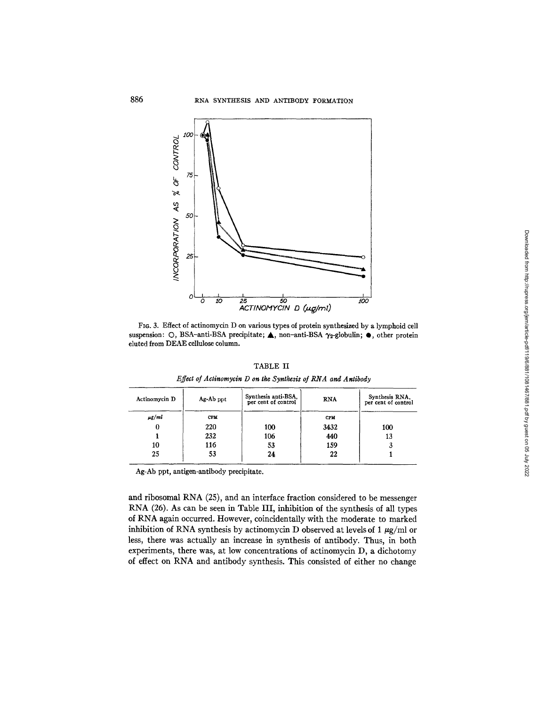

FIG. 3. Effect of actinomycin D on various types of protein synthesized by a lymphoid cell suspension: O, BSA-anti-BSA precipitate;  $\blacktriangle$ , non-anti-BSA  $\gamma_2$ -globulin;  $\blacklozenge$ , other protein eluted from DEAE cellulose column.

TABLE II

| Effect of Actinomycin D on the Synthesis of RNA and Antibody |  |  |  |  |
|--------------------------------------------------------------|--|--|--|--|
|--------------------------------------------------------------|--|--|--|--|

| Actinomycin D | Ag-Ab ppt  | Synthesis anti-BSA,<br>per cent of control | <b>RNA</b> | Synthesis RNA,<br>per cent of control |
|---------------|------------|--------------------------------------------|------------|---------------------------------------|
| $\mu$ g/ml    | <b>CPM</b> |                                            | <b>CPM</b> |                                       |
|               | 220        | 100                                        | 3432       | 100                                   |
|               | 232        | 106                                        | 440        | 13                                    |
| 10            | 116        | 53                                         | 159        | a                                     |
| 25            | 53         | 24                                         | 22         |                                       |

Ag-Ab ppt, antigen-antibody precipitate.

and ribosomal RNA (25), and an interface fraction considered to be messenger RNA (26). As can be seen in Table III, inhibition of the synthesis of all types of RNA again occurred. However, coincidentally with the moderate to marked inhibition of RNA synthesis by actinomycin D observed at levels of 1  $\mu$ g/ml or less, there was actually an increase in synthesis of antibody. Thus, in both experiments, there was, at low concentrations of actinomycin D, a dichotomy of effect on RNA and antibody synthesis. This consisted of either no change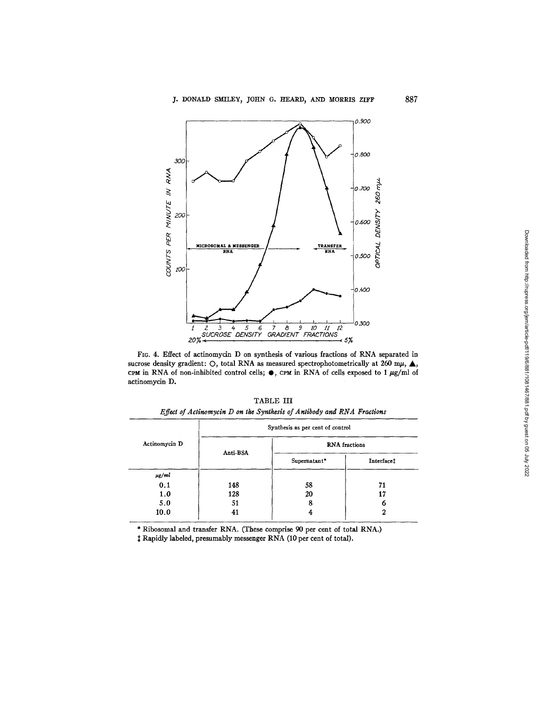

FIG. 4. Effect of actinomycin D on synthesis of various fractions of RNA separated in sucrose density gradient: O, total RNA as measured spectrophotometrically at 260 m $\mu$ ,  $\blacktriangle$ , CPM in RNA of non-inhibited control cells;  $\bullet$ , CPM in RNA of cells exposed to 1 µg/ml of actinomycin D.

|               |          | Synthesis as per cent of control |                   |
|---------------|----------|----------------------------------|-------------------|
| Actinomycin D |          | <b>RNA</b> fractions             |                   |
|               | Anti-BSA | Supernatant*                     | <b>Interface:</b> |
| $\mu$ g/ml    |          |                                  |                   |
| 0.1           | 148      | 58                               | 71                |
| 1.0           | 128      | 20                               | 17                |
| 5.0           | 51       | 8                                | 6                 |
| 10.0          | 41       | 4                                | 2                 |

*Effect of Actinomycin D on the Synthesis of Antibody and RNA Fractions* 

\* Ribosomal and transfer RNA. (These comprise 90 per cent of total RNA.)

Rapidly labeled, presumably messenger RNA (10 per cent of total).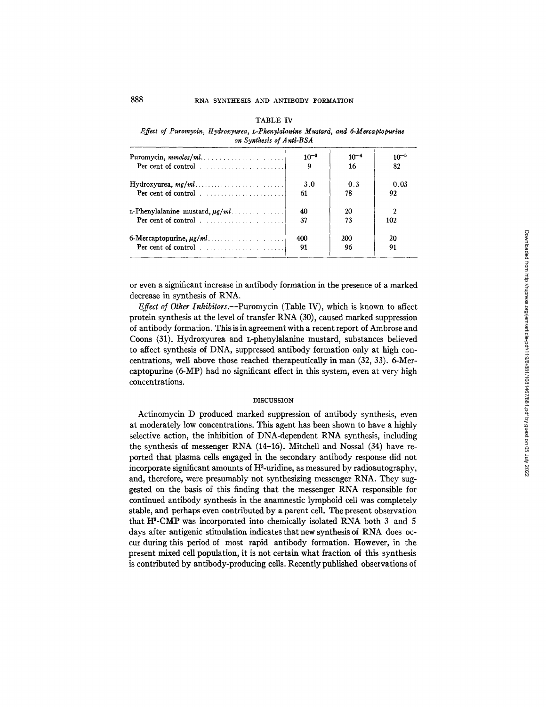| плесі оз ғиғотусіп, нуағохуитеа, L-ғпепулалпіне мизіаға, апа 0-метсаріоритте<br>on Synthesis of Anti-BSA |           |           |           |
|----------------------------------------------------------------------------------------------------------|-----------|-----------|-----------|
| Puromycin, $mmoles/ml \ldots \ldots \ldots \ldots \ldots \ldots \ldots$                                  | $10^{-3}$ | $10^{-4}$ | $10^{-5}$ |
|                                                                                                          | 9         | 16        | 82        |
|                                                                                                          | 3.0       | 0.3       | 0.03      |
|                                                                                                          | 61        | 78        | 92        |
| L-Phenylalanine mustard, $\mu$ g/ml                                                                      | 40        | 20        |           |
|                                                                                                          | 37        | 73        | 102       |
|                                                                                                          | 400       | 200       | 20        |
|                                                                                                          | 91        | 96        | 91        |

#### TABLE IV

*Effect of Puromycin, Hydroxyurea, L-Phenylalanine Mustard, and 6-Mercaptopurine* 

or even a significant increase in antibody formation in the presence of a marked decrease in synthesis of RNA.

*Effect of Other Inhibitors.*—Puromycin (Table IV), which is known to affect protein synthesis at the level of transfer RNA (30), caused marked suppression of antibody formation. This is in agreement with a recent report of Ambrose and Coons (31). Hydroxyurea and L-phenylalanine mustard, substances believed to affect synthesis of DNA, suppressed antibody formation only at high concentrations, well above those reached therapeutically in man (32, 33). 6-Mercaptopurine (6-MP) had no significant effect in this system, even at very high concentrations.

#### DISCUSSION

Actinomycin D produced marked suppression of antibody synthesis, even at moderately low concentrations. This agent has been shown to have a highly selective action, the inhibition of DNA-dependent RNA synthesis, including the synthesis of messenger RNA (14-15). Mitchell and Nossal (34) have reported that plasma cells engaged in the secondary antibody response did not incorporate significant amounts of  $H^3$ -uridine, as measured by radioautography, and, therefore, were presumably not synthesizing messenger RNA. They suggested on the basis of this finding that the messenger RNA responsible for continued antibody synthesis in the anamnestic lymphoid cell was completely stable, and perhaps even contributed by a parent cell. The present observation that  $H^3$ -CMP was incorporated into chemically isolated RNA both 3 and 5 days after antigenic stimulation indicates that new synthesis of RNA does occur during this period of most rapid antibody formation. However, in the present mixed cell population, it is not certain what fraction of this synthesis is contributed by antibody-producing cells. Recently published observations of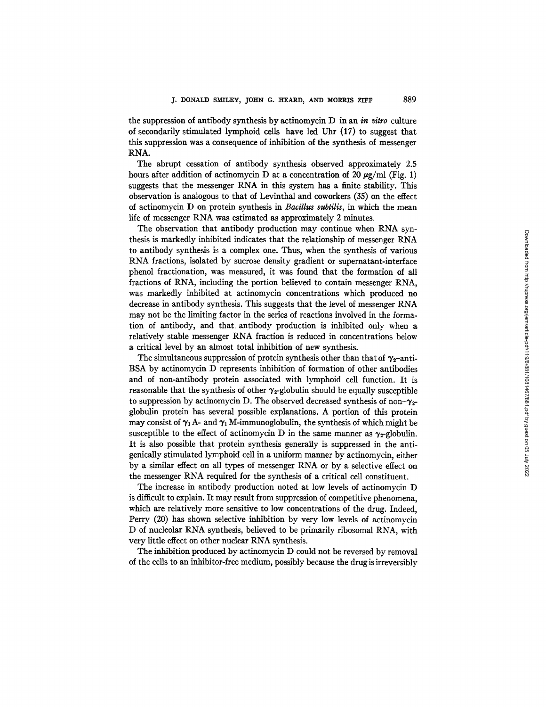the suppression of antibody synthesis by actinomycin D in an *in vitro* culture of secondarily stimulated lymphoid cells have led Uhr (17) to suggest that this suppression was a consequence of inhibition of the synthesis of messenger RNA.

The abrupt cessation of antibody synthesis observed approximately 2.5 hours after addition of actinomycin D at a concentration of 20  $\mu$ g/ml (Fig. 1) suggests that the messenger RNA in this system has a finite stability. This observation is analogous to that of Levinthal and coworkers (35) on the effect of actinomycin D on protein synthesis in *Bacillus subtilis,* in which the mean life of messenger RNA was estimated as approximately 2 minutes.

The observation that antibody production may continue when RNA synthesis is markedly inhibited indicates that the relationship of messenger RNA to antibody synthesis is a complex one. Thus, when the synthesis of various RNA fractions, isolated by sucrose density gradient or supernatant-interface phenol fractionation, was measured, it was found that the formation of all fractions of RNA, including the portion believed to contain messenger RNA, was markedly inhibited at actinomycin concentrations which produced no decrease in antibody synthesis. This suggests that the level of messenger RNA may not be the limiting factor in the series of reactions involved in the formation of antibody, and that antibody production is inhibited only when a relatively stable messenger RNA fraction is reduced in concentrations below a critical level by an almost total inhibition of new synthesis.

The simultaneous suppression of protein synthesis other than that of  $\gamma_2$ -anti-BSA by actinomycin D represents inhibition of formation of other antibodies and of non-antibody protein associated with lymphoid cell function. It is reasonable that the synthesis of other  $\gamma_2$ -globulin should be equally susceptible to suppression by actinomycin D. The observed decreased synthesis of non- $\gamma_{2}$ globulin protein has several possible explanations. A portion of this protein may consist of  $\gamma_1$  A- and  $\gamma_1$  M-immunoglobulin, the synthesis of which might be susceptible to the effect of actinomycin D in the same manner as  $\gamma_{2}$ -globulin. It is also possible that protein synthesis generally is suppressed in the antigenically stimulated lymphoid ce]l in a uniform manner by actinomycin, either by a similar effect on all types of messenger RNA or by a selective effect on the messenger RNA required for the synthesis of a critical cell constituent.

The increase in antibody production noted at low levels of actinomycin D is difficult to explain. It may result from suppression of competitive phenomena, which are relatively more sensitive to low concentrations of the drug. Indeed, Perry (20) has shown selective inhibition by very low levels of actinomycin D of nucleolar RNA synthesis, believed to be primarily ribosomal RNA, with very little effect on other nuclear RNA synthesis.

The inhibition produced by actinomycin D could not be reversed by removal of the cells to an inhibitor-free medium, possibly because the drug is irreversibly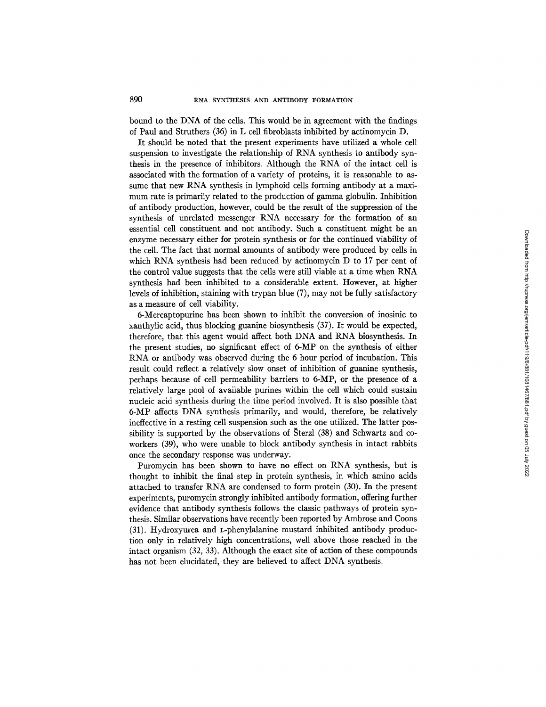bound to the DNA of the cells. This would be in agreement with the findings of Paul and Struthers (36) in L cell fibroblasts inhibited by actinomycin D.

It should be noted that the present experiments have utilized a whole cell suspension to investigate the relationship of RNA synthesis to antibody synthesis in the presence of inhibitors. Although the RNA of the intact cell is associated with the formation of a variety of proteins, it is reasonable to assume that new RNA synthesis in lymphoid cells forming antibody at a maximum rate is primarily related to the production of gamma globulin. Inhibition of antibody production, however, could be the result of the suppression of the synthesis of unrelated messenger RNA necessary for the formation of an essential cell constituent and not antibody. Such a constituent might be an enzyme necessary either for protein synthesis or for the continued viability of the cell. The fact that normal amounts of antibody were produced by cells in which RNA synthesis had been reduced by actinomycin D to 17 per cent of the control value suggests that the cells were still viable at a time when RNA synthesis had been inhibited to a considerable extent. However, at higher levels of inhibition, staining with trypan blue (7), may not be fully satisfactory as a measure of cell viability.

6-Mercaptopurine has been shown to inhibit the conversion of inosinic to xanthylic acid, thus blocking guanine biosynthesis (37). It would be expected, therefore, that this agent would affect both DNA and RNA biosynthesis. In the present studies, no significant effect of 6-MP on the synthesis of either RNA or antibody was observed during the 6 hour period of incubation. This result could reflect a relatively slow onset of inhibition of guanine synthesis, perhaps because of cell permeability barriers to 6-MP, or the presence of a relatively large pool of available purines within the cell which could sustain nucleic acid synthesis during the time period involved. It is also possible that 6-MP affects DNA synthesis primarily, and would, therefore, be relatively ineffective in a resting cell suspension such as the one utilized. The latter possibility is supported by the observations of  $\text{Sterzl}$  (38) and Schwartz and coworkers (39), who were unable to block antibody synthesis in intact rabbits once the secondary response was underway.

Puromycin has been shown to have no effect on RNA synthesis, but is thought to inhibit the final step in protein synthesis, in which amino acids attached to transfer RNA are condensed to form protein (30). In the present experiments, puromycin strongly inhibited antibody formation, offering further evidence that antibody synthesis follows the classic pathways of protein synthesis. Similar observations have recently been reported by Ambrose and Coons (31). Hydroxynrea and L-phenylalanine mustard inhibited antibody production only in relatively high concentrations, well above those reached in the intact organism (32, 33). Although the exact site of action of these compounds has not been elucidated, they are believed to affect DNA synthesis.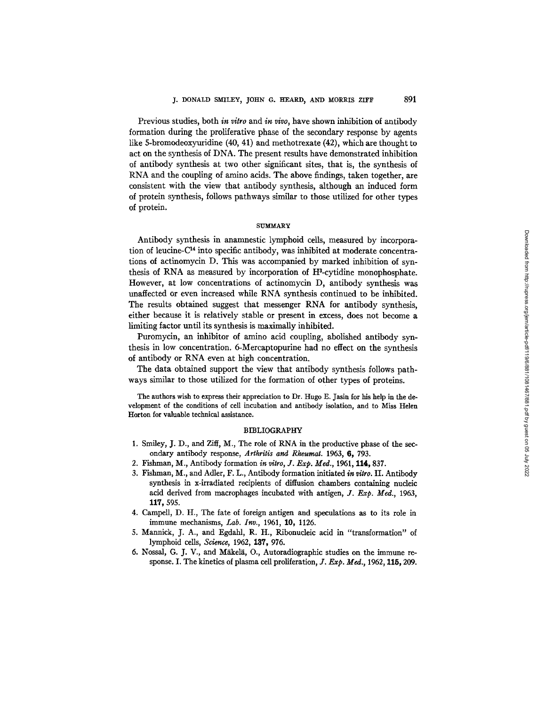Previous studies, both *in vitro* and *in vivo,* have shown inhibition of antibody formation during the proliferative phase of the secondary response by agents like 5-bromodeoxyuridine (40, 41) and methotrexate (42), which are thought to act on the synthesis of DNA. The present results have demonstrated inhibition of antibody synthesis at two other significant sites, that is, the synthesis of RNA and the coupling of amino acids. The above findings, taken together, are consistent with the view that antibody synthesis, although an induced form of protein synthesis, follows pathways similar to those utilized for other types of protein.

#### **SUMMARY**

Antibody synthesis in anamnestic lymphoid cells, measured by incorporation of leucine- $C<sup>14</sup>$  into specific antibody, was inhibited at moderate concentrations of actinomycin D. This was accompanied by marked inhibition of synthesis of RNA as measured by incorporation of H<sup>3</sup>-cytidine monophosphate. However, at low concentrations of actinomycin D, antibody synthesis was unaffected or even increased while RNA synthesis continued to be inhibited. The results obtained suggest that messenger RNA for antibody synthesis, either because it is relatively stable or present in excess, does not become a limiting factor until its synthesis is maximally inhibited.

Puromycin, an inhibitor of amino acid coupling, abolished antibody synthesis in low concentration. 6-Mercaptopurine had no effect on the synthesis of antibody or RNA even at high concentration.

The data obtained support the view that antibody synthesis follows pathways similar to those utilized for the formation of other types of proteins.

The authors wish to express their appreciation to Dr. Hugo E. Tasin for his help in the development of the conditions of cell incubation and antibody isolation, and to Miss Helen Horton for valuable technical assistance.

#### BIBLIOGRAPHY

- I. Smiley, J. D., and Ziff, M., The role of RNA in the productive phase of the secondary antibody response, Arthritis and Rheumat. 1963, 6, 793.
- 2. Fishman, M., Antibody formation *in vitro, J. Exp. Med.,* 1961, 114, 837.
- 3. Fishman, M., and Adler, F. *L.,* Antibody formation initiated *in vitro.* II. Antibody synthesis in x-irradiated recipients of diffusion chambers containing nucleic acid derived from macrophages incubated with antigen, *J. Exp. Med.,* 1963, 117, 595.
- 4. Campell, D. H., The fate of foreign antigen and speculations as to its role in immune mechanisms, *Lab. Inv.,* 1961, 10, 1126.
- 5. Mannick, J. A., and Egdahl, R. H., Ribonudeic acid in *"transformation"* of lymphoid cells, *Science*, 1962, 137, 976.
- 6. Nossal, G. J. V., and Miikeli, O., Autoradiographic studies on the immune response. I. The kinetics of plasma cell proliferation, *Y. Exp. Meal.,* 1962, 115, 209.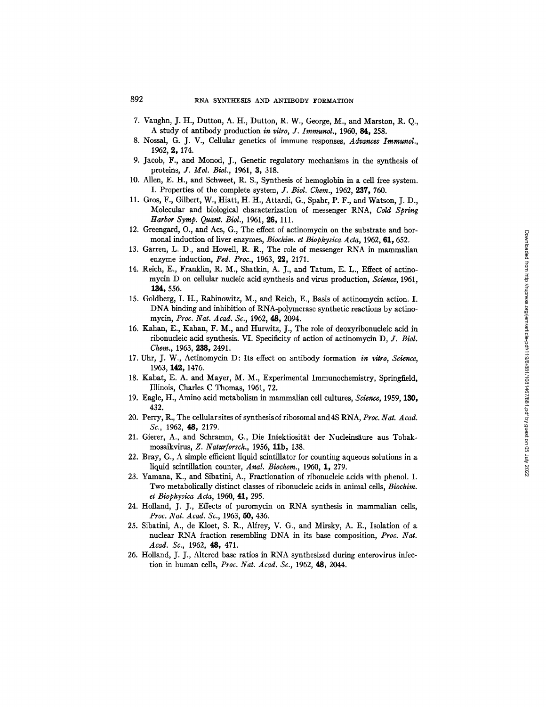- 7. Vaughn, J. H., Dutton, A. H., Dutton, R. W., George, M., and Marston, R. Q., A study of antibody production *in vitro, J. Immunol.,* 1950, 84, 258.
- 8. Nossal, G. J. V., Cellular genetics of immune responses, *Advances Immuncl.,*  1962, 2, 174.
- 9. Jacob, F., and Monod, J., Genetic regulatory mechanisms in the synthesis of proteins, *J. Mol. Biol.,* 1961, 3, 318.
- 10. Allen, E. H., and Schweet, R. S., Synthesis of hemoglobin in a cell free system. I. Properties of the complete system, *J. Biol. Chem.,* 1952, 9.37, 750.
- 11. Gros, F., Gilbert, W., Hiatt, H. H., Attardi, G., Spahr, P. F., and Watson, J. D., Molecular and biological characterization of messenger RNA, *Cold Spring Harbor Symp. Quant. Biol.,* 1961, 26, 111.
- 12. Greengard, O., and Acs, G., The effect of actinomycin on the substrate and hormonal induction of liver enzymes, *Biochim. et Biophysica Acta*, 1962, 61, 652.
- 13. Garren, L. D., and Howell, R. R., The role of messenger RNA in mammalian enzyme induction, Fed. Proc., 1963, 22, 2171.
- 14. Reich, E., Franklin, R. M., Shatkin, A. J., and Tatum, E. L., Effect of actinomycin D on cellular nucleic acid synthesis and virus production, *Science,* 1961, 134, 556.
- 15. Goldberg, I. H., Rabinowitz, M., and Reich, E., Basis of actinomycin action. I. DNA binding and inhibition of RNA-polymerase synthetic reactions by actinomycin, *Proc. Nat. Acad. So.,* 1962, 48, 2094.
- 16. Kahan, E., Kahan, F. M., and Hurwitz, J., The role of deoxyribonucleic acid in ribonucleic acid synthesis. VI. Specificity of action of actinomycin *D, J. Biol. Chem.,* 1963, 238, 2491.
- 17. Uhr, J. W., Actinomycin D: Its effect on antibody formation *in vitro, Science,*  1963, 142, 1476.
- 18. Kabat, E. A. and Mayer, M. M., Experimental Immunochemistry, Springfield, Illinois, Charles C Thomas, 1961, 72.
- 19. Eagle, H., Amino acid metabolism in mammalian cell cultures, *Science,* 1959, 130, 432.
- 20. Perry, R., The cellular sites of synthesis of ribosomal and 4S RNA, *Proc. Nat. Acad. Sc.,* 1962, 48, 2179.
- 21. Gierer, A., and Schramm, G., Die Infektiosität der Nucleinsäure aus Tobakmosaikvirus, *Z. Naturforsch.,* 1956, llb, 138.
- 22. Bray, G., A simple efficient liquid scintillator for counting aqueous solutions in a liquid scintillation counter, *Anal. Biochem.,* 1960, 1, 279.
- 23. Yamana, K., and Sibatini, A., Fractionation of ribonucleic acids with phenol. I. Two metabolically distinct classes of ribonucleic acids in animal cells, *Biochim. et Biophysica Acta,* 1960, 41, 295.
- 24. Holland, J. J., Effects of puromycin on RNA synthesis in mammalian cells, *Proc. Nat. Acad. Sc.,* 1963, 50, 436.
- 25. Sibatini, A., de Kloet, S. R., Alfrey, V. G., and Mirsky, A. E., Isolation of a nuclear RNA fraction resembling DNA in its base composition, *Proc. Nat. Acad. Sc.,* 1962, 48, 471.
- 26. Holland, J. J., Altered base ratios in RNA synthesized during enterovirus infection in human cells, *Proc. Nat. Acad. Sc.,* 1962, 48, 2044.